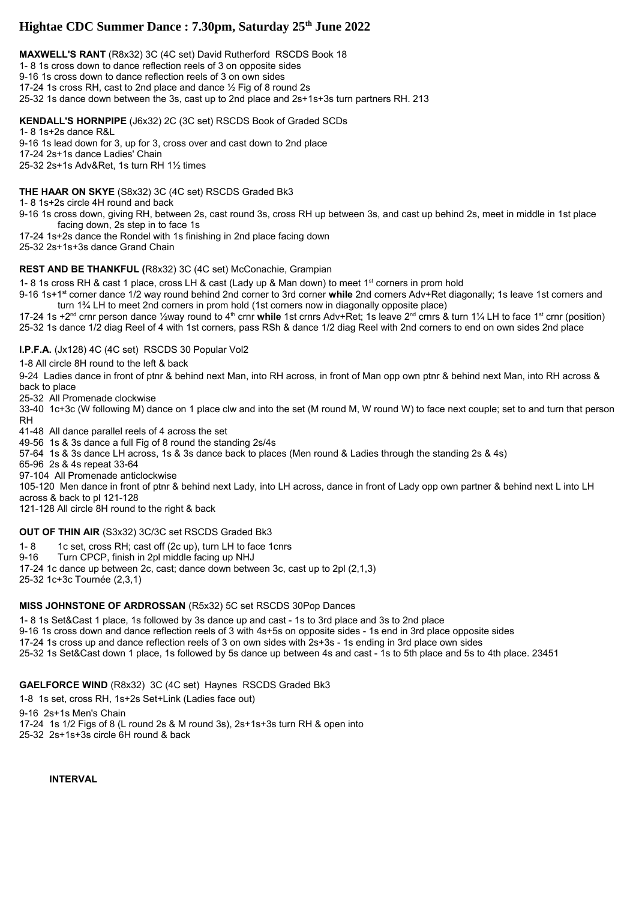# **Hightae CDC Summer Dance : 7.30pm, Saturday 25th June 2022**

**MAXWELL'S RANT** (R8x32) 3C (4C set) David Rutherford RSCDS Book 18 1- 8 1s cross down to dance reflection reels of 3 on opposite sides 9-16 1s cross down to dance reflection reels of 3 on own sides 17-24 1s cross RH, cast to 2nd place and dance ½ Fig of 8 round 2s 25-32 1s dance down between the 3s, cast up to 2nd place and 2s+1s+3s turn partners RH. 213

**KENDALL'S HORNPIPE** (J6x32) 2C (3C set) RSCDS Book of Graded SCDs

1- 8 1s+2s dance R&L

9-16 1s lead down for 3, up for 3, cross over and cast down to 2nd place

17-24 2s+1s dance Ladies' Chain

25-32 2s+1s Adv&Ret, 1s turn RH 1½ times

**THE HAAR ON SKYE** (S8x32) 3C (4C set) RSCDS Graded Bk3

1- 8 1s+2s circle 4H round and back

9-16 1s cross down, giving RH, between 2s, cast round 3s, cross RH up between 3s, and cast up behind 2s, meet in middle in 1st place facing down, 2s step in to face 1s

17-24 1s+2s dance the Rondel with 1s finishing in 2nd place facing down 25-32 2s+1s+3s dance Grand Chain

# **REST AND BE THANKFUL (**R8x32) 3C (4C set) McConachie, Grampian

1- 8 1s cross RH & cast 1 place, cross LH & cast (Lady up & Man down) to meet 1<sup>st</sup> corners in prom hold

9-16 1s+1st corner dance 1/2 way round behind 2nd corner to 3rd corner **while** 2nd corners Adv+Ret diagonally; 1s leave 1st corners and turn 1¾ LH to meet 2nd corners in prom hold (1st corners now in diagonally opposite place)

17-24 1s +2nd crnr person dance ½way round to 4th crnr **while** 1st crnrs Adv+Ret; 1s leave 2nd crnrs & turn 1¼ LH to face 1st crnr (position) 25-32 1s dance 1/2 diag Reel of 4 with 1st corners, pass RSh & dance 1/2 diag Reel with 2nd corners to end on own sides 2nd place

# **I.P.F.A.** (Jx128) 4C (4C set) RSCDS 30 Popular Vol2

1-8 All circle 8H round to the left & back

9-24 Ladies dance in front of ptnr & behind next Man, into RH across, in front of Man opp own ptnr & behind next Man, into RH across & back to place

25-32 All Promenade clockwise

33-40 1c+3c (W following M) dance on 1 place clw and into the set (M round M, W round W) to face next couple; set to and turn that person RH

41-48 All dance parallel reels of 4 across the set

49-56 1s & 3s dance a full Fig of 8 round the standing 2s/4s

57-64 1s & 3s dance LH across, 1s & 3s dance back to places (Men round & Ladies through the standing 2s & 4s)

65-96 2s & 4s repeat 33-64

97-104 All Promenade anticlockwise

105-120 Men dance in front of ptnr & behind next Lady, into LH across, dance in front of Lady opp own partner & behind next L into LH across & back to pl 121-128

121-128 All circle 8H round to the right & back

# **OUT OF THIN AIR** (S3x32) 3C/3C set RSCDS Graded Bk3

1- 8 1c set, cross RH; cast off (2c up), turn LH to face 1cnrs

9-16 Turn CPCP, finish in 2pl middle facing up NHJ

17-24 1c dance up between 2c, cast; dance down between 3c, cast up to 2pl (2,1,3)

25-32 1c+3c Tournée (2,3,1)

# **MISS JOHNSTONE OF ARDROSSAN** (R5x32) 5C set RSCDS 30Pop Dances

1- 8 1s Set&Cast 1 place, 1s followed by 3s dance up and cast - 1s to 3rd place and 3s to 2nd place

9-16 1s cross down and dance reflection reels of 3 with 4s+5s on opposite sides - 1s end in 3rd place opposite sides

17-24 1s cross up and dance reflection reels of 3 on own sides with 2s+3s - 1s ending in 3rd place own sides

25-32 1s Set&Cast down 1 place, 1s followed by 5s dance up between 4s and cast - 1s to 5th place and 5s to 4th place. 23451

**GAELFORCE WIND** (R8x32) 3C (4C set) Haynes RSCDS Graded Bk3

1-8 1s set, cross RH, 1s+2s Set+Link (Ladies face out)

9-16 2s+1s Men's Chain

17-24 1s 1/2 Figs of 8 (L round 2s & M round 3s), 2s+1s+3s turn RH & open into

25-32 2s+1s+3s circle 6H round & back

**INTERVAL**